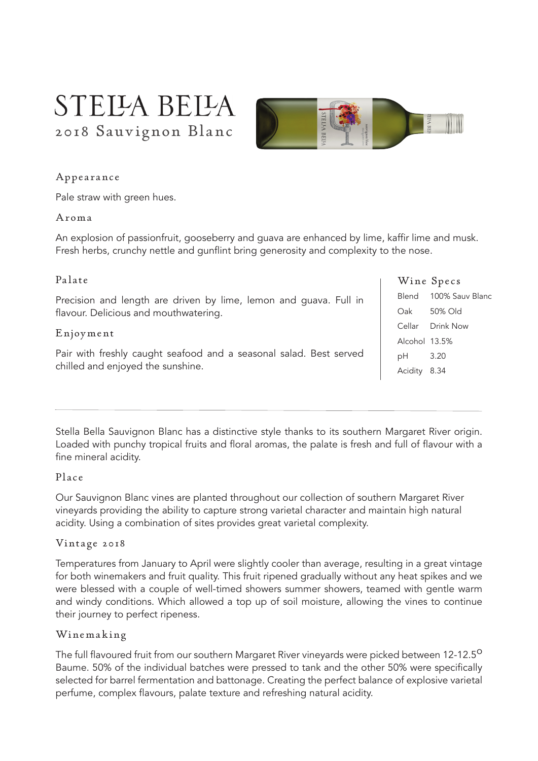# STELLA BELLA 2018 Sauvignon Blanc



### Appearance

Pale straw with green hues.

#### Aroma

An explosion of passionfruit, gooseberry and guava are enhanced by lime, kaffir lime and musk. Fresh herbs, crunchy nettle and gunflint bring generosity and complexity to the nose.

### Palate

Precision and length are driven by lime, lemon and guava. Full in flavour. Delicious and mouthwatering.

#### Enjoyment

Pair with freshly caught seafood and a seasonal salad. Best served chilled and enjoyed the sunshine.

|               | Wine Specs            |
|---------------|-----------------------|
|               | Blend 100% Sauv Blanc |
| Oak           | 50% Old               |
|               | Cellar Drink Now      |
| Alcohol 13.5% |                       |
| 3.20<br>рH    |                       |
| Acidity 8.34  |                       |

Stella Bella Sauvignon Blanc has a distinctive style thanks to its southern Margaret River origin. Loaded with punchy tropical fruits and floral aromas, the palate is fresh and full of flavour with a fine mineral acidity.

#### Place

Our Sauvignon Blanc vines are planted throughout our collection of southern Margaret River vineyards providing the ability to capture strong varietal character and maintain high natural acidity. Using a combination of sites provides great varietal complexity.

#### Vintage 2018

Temperatures from January to April were slightly cooler than average, resulting in a great vintage for both winemakers and fruit quality. This fruit ripened gradually without any heat spikes and we were blessed with a couple of well-timed showers summer showers, teamed with gentle warm and windy conditions. Which allowed a top up of soil moisture, allowing the vines to continue their journey to perfect ripeness.

#### Winemaking

The full flavoured fruit from our southern Margaret River vineyards were picked between 12-12.5<sup>0</sup> Baume. 50% of the individual batches were pressed to tank and the other 50% were specifically selected for barrel fermentation and battonage. Creating the perfect balance of explosive varietal perfume, complex flavours, palate texture and refreshing natural acidity.